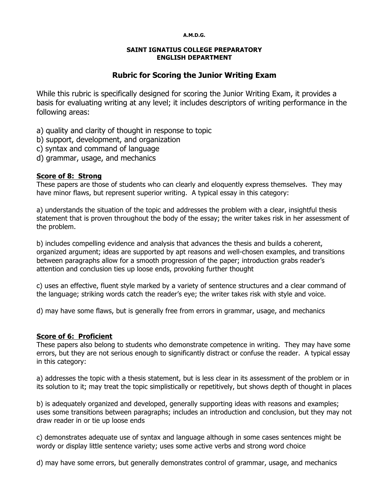#### **A.M.D.G.**

#### **SAINT IGNATIUS COLLEGE PREPARATORY ENGLISH DEPARTMENT**

# **Rubric for Scoring the Junior Writing Exam**

While this rubric is specifically designed for scoring the Junior Writing Exam, it provides a basis for evaluating writing at any level; it includes descriptors of writing performance in the following areas:

a) quality and clarity of thought in response to topic

- b) support, development, and organization
- c) syntax and command of language
- d) grammar, usage, and mechanics

### **Score of 8: Strong**

These papers are those of students who can clearly and eloquently express themselves. They may have minor flaws, but represent superior writing. A typical essay in this category:

a) understands the situation of the topic and addresses the problem with a clear, insightful thesis statement that is proven throughout the body of the essay; the writer takes risk in her assessment of the problem.

b) includes compelling evidence and analysis that advances the thesis and builds a coherent, organized argument; ideas are supported by apt reasons and well-chosen examples, and transitions between paragraphs allow for a smooth progression of the paper; introduction grabs reader's attention and conclusion ties up loose ends, provoking further thought

c) uses an effective, fluent style marked by a variety of sentence structures and a clear command of the language; striking words catch the reader's eye; the writer takes risk with style and voice.

d) may have some flaws, but is generally free from errors in grammar, usage, and mechanics

### **Score of 6: Proficient**

These papers also belong to students who demonstrate competence in writing. They may have some errors, but they are not serious enough to significantly distract or confuse the reader. A typical essay in this category:

a) addresses the topic with a thesis statement, but is less clear in its assessment of the problem or in its solution to it; may treat the topic simplistically or repetitively, but shows depth of thought in places

b) is adequately organized and developed, generally supporting ideas with reasons and examples; uses some transitions between paragraphs; includes an introduction and conclusion, but they may not draw reader in or tie up loose ends

c) demonstrates adequate use of syntax and language although in some cases sentences might be wordy or display little sentence variety; uses some active verbs and strong word choice

d) may have some errors, but generally demonstrates control of grammar, usage, and mechanics